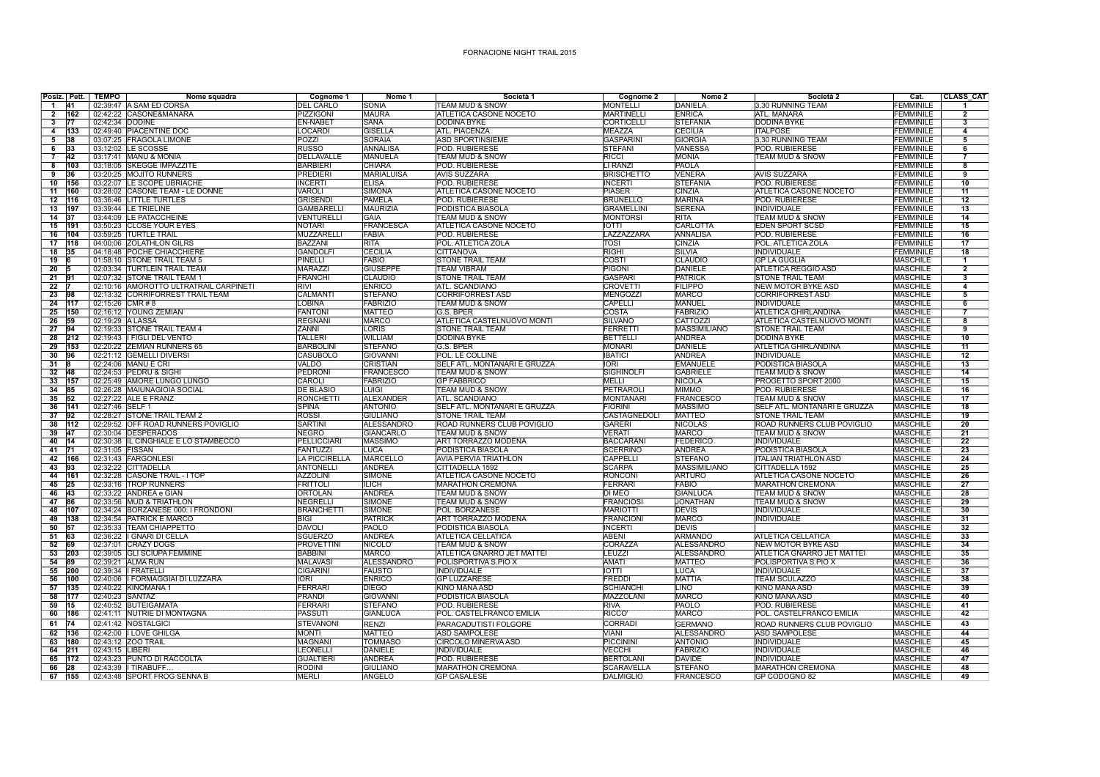## FORNACIONE NIGHT TRAIL 2015

|                 |                 | Posiz. Pett. TEMPO | Nome squadra                                               | Cognome 1                       | Nome 1                                | Società 1                                                | Cognome 2                       | Nome 2                         | Società 2                                | Cat.                                 | <b>CLASS_CAT</b>        |
|-----------------|-----------------|--------------------|------------------------------------------------------------|---------------------------------|---------------------------------------|----------------------------------------------------------|---------------------------------|--------------------------------|------------------------------------------|--------------------------------------|-------------------------|
| $\overline{1}$  | 141             |                    | 02:39:47 A SAM ED CORSA                                    | <b>DEL CARLO</b>                | <b>SONIA</b>                          | TEAM MUD & SNOW                                          | <b>MONTELLI</b>                 | DANIELA                        | 3,30 RUNNING TEAM                        | <b>FEMMINILE</b>                     | $\blacktriangleleft$    |
| $\overline{2}$  | 162             |                    | 02:42:22 CASONE&MANARA                                     | PIZZIGONI                       | <b>MAURA</b>                          | <b>ATLETICA CASONE NOCETO</b>                            | <b>MARTINELLI</b>               | <b>ENRICA</b>                  | <b>ATL. MANARA</b>                       | <b>FEMMINILE</b>                     | $\overline{2}$          |
| $\mathbf{3}$    | 77              |                    | 02:42:34 DODINE                                            | <b>EN-NABET</b>                 | <b>SANA</b>                           | <b>DODINA BYKE</b>                                       | <b>CORTICELLI</b>               | <b>STEFANIA</b>                | <b>DODINA BYKE</b>                       | <b>FEMMINILE</b>                     | $\overline{\mathbf{3}}$ |
| $\overline{4}$  | 133             |                    | 02:49:40 PIACENTINE DOC                                    | <b>LOCARDI</b>                  | <b>GISELLA</b>                        | <b>ATL, PIACENZA</b>                                     | <b>MEAZZA</b>                   | <b>CECILIA</b>                 | <b>ITALPOSE</b>                          | <b>FEMMINILE</b>                     | $\overline{4}$          |
| 5 <sup>7</sup>  | 38              |                    | 03:07:25 FRAGOLA LIMONE                                    | POZZI                           | <b>SORAIA</b>                         | <b>ASD SPORTINSIEME</b>                                  | <b>GASPARINI</b>                | <b>GIORGIA</b>                 | 3,30 RUNNING TEAM                        | <b>FEMMINILE</b>                     | $\overline{5}$          |
| 6               | 33              |                    | 03:12:02 LE SCOSSE                                         | <b>RUSSO</b>                    | <b>ANNALISA</b>                       | POD. RUBIERESE                                           | <b>STEFANI</b>                  | <b>VANESSA</b>                 | POD. RUBIERESE                           | <b>FEMMINILE</b>                     | 6                       |
| $\overline{7}$  | 42              |                    | 03:17:41 MANU & MONIA                                      | <b>DELLAVALLE</b>               | <b>MANUELA</b>                        | <b>TEAM MUD &amp; SNOW</b>                               | <b>RICCI</b>                    | <b>MONIA</b>                   | <b>TEAM MUD &amp; SNOW</b>               | <b>FEMMINILE</b>                     | $\overline{7}$          |
| 8               | 103             |                    | 03:18:05 SKEGGE IMPAZZITE                                  | <b>BARBIERI</b>                 | <b>CHIARA</b>                         | POD. RUBIERESE                                           | LI RANZI                        | PAOLA                          |                                          | <b>FEMMINILE</b>                     | $\overline{\mathbf{8}}$ |
| 9               | 36              |                    | 03:20:25 MOJITO RUNNERS                                    | <b>PREDIERI</b>                 | <b>MARIALUISA</b>                     | <b>AVIS SUZZARA</b>                                      | <b>BRISCHETTO</b>               | <b>VENERA</b>                  | <b>AVIS SUZZARA</b>                      | <b>FEMMINILE</b>                     | 9                       |
| 10              | 156             |                    | 03:22:07 LE SCOPE UBRIACHE                                 | <b>INCERTI</b><br><b>VAROLI</b> | <b>ELISA</b>                          | POD. RUBIERESE                                           | <b>INCERTI</b><br><b>PIASER</b> | <b>STEFANIA</b>                | <b>POD. RUBIERESE</b>                    | <b>FEMMINILE</b><br><b>FEMMINILE</b> | 10                      |
| 11<br>12        | 160<br>116      |                    | 03:28:02 CASONE TEAM - LE DONNE<br>03:36:46 LITTLE TURTLES | <b>GRISENDI</b>                 | <b>SIMONA</b><br><b>PAMELA</b>        | <b>ATLETICA CASONE NOCETO</b><br>POD. RUBIERESE          | <b>BRUNELLO</b>                 | CINZIA<br><b>MARINA</b>        | ATLETICA CASONE NOCETO<br>POD. RUBIERESE | <b>FEMMINILE</b>                     | 11<br>12                |
| 13              | 197             |                    | 03:39:44 LE TRIELINE                                       | <b>GAMBARELLI</b>               | <b>MAURIZIA</b>                       | PODISTICA BIASOLA                                        | <b>GRAMELLINI</b>               | <b>SERENA</b>                  | <b>INDIVIDUALE</b>                       | <b>FEMMINILE</b>                     | 13                      |
| 14              | 137             |                    | 03:44:09 LE PATACCHEINE                                    | <b>VENTURELLI</b>               | <b>GAIA</b>                           | <b>TEAM MUD &amp; SNOW</b>                               | <b>MONTORSI</b>                 | <b>RITA</b>                    | <b>TEAM MUD &amp; SNOW</b>               | <b>FEMMINILE</b>                     | $\overline{14}$         |
| 15 191          |                 |                    | 03:50:23 CLOSE YOUR EYES                                   | <b>NOTARI</b>                   | <b>FRANCESCA</b>                      | <b>ATLETICA CASONE NOCETO</b>                            | <b>IOTTI</b>                    | CARLOTTA                       | <b>EDEN SPORT SCSD</b>                   | <b>FEMMINILE</b>                     | $\overline{15}$         |
| 16              | 104             |                    | 03:59:25 TURTLE TRAIL                                      | <b>MUZZARELLI</b>               | <b>FABIA</b>                          | POD. RUBIERESE                                           | LAZZAZZARA                      | <b>ANNALISA</b>                | POD. RUBIERESE                           | <b>FEMMINILE</b>                     | 16                      |
| 17              | 118             |                    | 04:00:06 ZOLATHLON GILRS                                   | <b>BAZZANI</b>                  | <b>RITA</b>                           | POL. ATLETICA ZOLA                                       | TOSI                            | CINZIA                         | POL. ATLETICA ZOLA                       | <b>FEMMINILE</b>                     | 17                      |
| 18 35           |                 |                    | 04:18:48 POCHE CHIACCHIERE                                 | <b>GANDOLFI</b>                 | <b>CECILIA</b>                        | <b>CITTANOVA</b>                                         | <b>RIGHI</b>                    | <b>SILVIA</b>                  | <b>INDIVIDUALE</b>                       | <b>FEMMINILE</b>                     | 18                      |
| 19              | <b>6</b>        |                    | 01:58:10 STONE TRAIL TEAM 5                                | PINELLI                         | <b>FABIO</b>                          | <b>STONE TRAIL TEAM</b>                                  | COSTI                           | <b>CLAUDIO</b>                 | <b>GP LA GUGLIA</b>                      | <b>MASCHILE</b>                      | 7                       |
| 20              | 15              |                    | 02:03:34 TURTLEIN TRAIL TEAM                               | <b>MARAZZI</b>                  | <b>GIUSEPPE</b>                       | <b>TEAM VIBRAM</b>                                       | <b>PIGONI</b>                   | <b>DANIELE</b>                 | <b>ATLETICA REGGIO ASD</b>               | <b>MASCHILE</b>                      | $\overline{2}$          |
| $21$ 91         |                 |                    | 02:07:32 STONE TRAIL TEAM 1                                | <b>FRANCHI</b>                  | <b>CLAUDIO</b>                        | <b>STONE TRAIL TEAM</b>                                  | <b>GASPARI</b>                  | <b>PATRICK</b>                 | <b>STONE TRAIL TEAM</b>                  | <b>MASCHILE</b>                      | 3                       |
| $\overline{22}$ |                 |                    | 02:10:16 AMOROTTO ULTRATRAIL CARPINETI                     | <b>RIVI</b>                     | <b>ENRICO</b>                         | <b>ATL. SCANDIANO</b>                                    | <b>CROVETTI</b>                 | <b>FILIPPO</b>                 | <b>NEW MOTOR BYKE ASD</b>                | <b>MASCHILE</b>                      | 4                       |
| 23              | 98              |                    | 02:13:32 CORRIFORREST TRAIL TEAM                           | <b>CALMANTI</b>                 | <b>STEFANO</b>                        | <b>CORRIFORREST ASD</b>                                  | <b>MENGOZZI</b>                 | <b>MARCO</b>                   | <b>CORRIFORREST ASD</b>                  | <b>MASCHILE</b>                      | 5                       |
| $\overline{24}$ | 1117            | 02:15:26 CMR # 8   |                                                            | <b>LOBINA</b>                   | <b>FABRIZIO</b>                       | <b>TEAM MUD &amp; SNOW</b>                               | <b>CAPELLI</b>                  | MANUEL                         | <b>INDIVIDUALE</b>                       | <b>MASCHILE</b>                      | $\overline{6}$          |
| 25              | 150             |                    | 02:16:12 YOUNG ZEMIAN                                      | <b>FANTONI</b>                  | <b>MATTEO</b>                         | G.S. BPER                                                | COSTA                           | <b>FABRIZIO</b>                | <b>ATLETICA GHIRLANDINA</b>              | <b>MASCHILE</b>                      | 7                       |
| 26              | 59              |                    | 02:19:29 A LASSA                                           | <b>REGNANI</b>                  | <b>MARCO</b>                          | ATLETICA CASTELNUOVO MONTI                               | <b>SILVANO</b>                  | CATTOZZI                       | ATLETICA CASTELNUOVO MONTI               | <b>MASCHILE</b>                      | 8                       |
| $27 - 94$       |                 |                    | 02:19:33 STONE TRAIL TEAM 4                                | ZANNI                           | <b>LORIS</b>                          | <b>STONE TRAIL TEAM</b>                                  | FERRETTI                        | <b>MASSIMILIANO</b>            | <b>STONE TRAIL TEAM</b>                  | <b>MASCHILE</b>                      | $\overline{9}$          |
| 28              | 212             |                    | 02:19:43   FIGLI DEL VENTO                                 | <b>TALLERI</b>                  | <b>WILLIAM</b>                        | DODINA BYKE                                              | <b>BETTELLI</b>                 | <b>ANDREA</b>                  | <b>DODINA BYKE</b>                       | <b>MASCHILE</b>                      | 10                      |
| 29              | 153             |                    | 02:20:22 ZEMIAN RUNNERS 65                                 | <b>BARBOLINI</b>                | <b>STEFANO</b>                        | G.S. BPER                                                | <b>MONARI</b>                   | <b>DANIELE</b>                 | <b>ATLETICA GHIRLANDINA</b>              | <b>MASCHILE</b>                      | 11                      |
| 30              | 196             |                    | 02:21:12 GEMELLI DIVERSI                                   | <b>CASUBOLO</b>                 | <b>GIOVANNI</b>                       | POL. LE COLLINE                                          | <b>IBATICI</b>                  | <b>ANDREA</b>                  | <b>INDIVIDUALE</b>                       | <b>MASCHILE</b>                      | $\overline{12}$         |
| $31 \quad 8$    |                 |                    | 02:24:06 MANU E CRI                                        | VALDO                           | <b>CRISTIAN</b>                       | SELF ATL. MONTANARI E GRUZZA                             | <b>IORI</b>                     | <b>EMANUELE</b>                | PODISTICA BIASOLA                        | <b>MASCHILE</b>                      | 13                      |
| $32 - 48$       |                 |                    | 02:24:53 PEDRU & SIGHI                                     | <b>PEDRONI</b>                  | <b>FRANCESCO</b>                      | <b>TEAM MUD &amp; SNOW</b>                               | <b>SIGHINOLFI</b>               | <b>GABRIELE</b>                | <b>TEAM MUD &amp; SNOW</b>               | <b>MASCHILE</b>                      | $\overline{14}$         |
| 33              | 157             |                    | 02:25:49 AMORE LUNGO LUNGO                                 | CAROLI                          | <b>FABRIZIO</b>                       | <b>GP FABBRICO</b>                                       | <b>MELLI</b>                    | <b>NICOLA</b>                  | PROGETTO SPORT 2000                      | <b>MASCHILE</b>                      | 15                      |
| 34              | 85              |                    | 02:26:28 MAIUNAGIOIA SOCIAL                                | <b>DE BLASIO</b>                | LUIGI                                 | <b>TEAM MUD &amp; SNOW</b>                               | PETRAROLI                       | <b>MIMMO</b>                   | POD. RUBIERESE                           | <b>MASCHILE</b>                      | $\overline{16}$         |
| 35              | $\overline{52}$ |                    | 02:27:22 ALE E FRANZ                                       | <b>RONCHETTI</b>                | <b>ALEXANDER</b>                      | <b>ATL. SCANDIANO</b>                                    | <b>MONTANARI</b>                | FRANCESCO                      | <b>TEAM MUD &amp; SNOW</b>               | <b>MASCHILE</b>                      | $\overline{17}$         |
| 36              | 141             | 02:27:46 SELF 1    |                                                            | <b>SPINA</b>                    | <b>ANTONIO</b>                        | SELF ATL. MONTANARI E GRUZZA                             | <b>FIORINI</b>                  | <b>MASSIMO</b>                 | SELF ATL. MONTANARI E GRUZZA             | <b>MASCHILE</b>                      | 18                      |
| 37              | 92              |                    | 02:28:27 STONE TRAIL TEAM 2                                | <b>ROSSI</b>                    | <b>GIULIANO</b>                       | <b>STONE TRAIL TEAM</b>                                  | CASTAGNEDOLI                    | <b>MATTEO</b>                  | <b>STONE TRAIL TEAM</b>                  | <b>MASCHILE</b>                      | $\overline{19}$         |
| 38 112<br>39    | 147             |                    | 02:29:52 OFF ROAD RUNNERS POVIGLIO                         | <b>SARTINI</b><br><b>NEGRO</b>  | <b>ALESSANDRO</b><br><b>GIANCARLO</b> | <b>ROAD RUNNERS CLUB POVIGLIO</b>                        | <b>GARERI</b><br>VERATI         | <b>NICOLAS</b><br><b>MARCO</b> | ROAD RUNNERS CLUB POVIGLIO               | <b>MASCHILE</b><br><b>MASCHILE</b>   | 20<br>$\overline{21}$   |
| 40              | 14              |                    | 02:30:04 DESPERADOS                                        | PELLICCIARI                     | <b>MASSIMO</b>                        | <b>TEAM MUD &amp; SNOW</b><br><b>ART TORRAZZO MODENA</b> | <b>BACCARANI</b>                | <b>FEDERICO</b>                | <b>TEAM MUD &amp; SNOW</b>               | <b>MASCHILE</b>                      |                         |
| 41              | $\overline{71}$ | 02:31:05 FISSAN    | 02:30:38 IL CINGHIALE E LO STAMBECCO                       | <b>FANTUZZI</b>                 | <b>LUCA</b>                           | PODISTICA BIASOLA                                        | <b>SCERRINO</b>                 | ANDREA                         | <b>INDIVIDUALE</b><br>PODISTICA BIASOLA  | <b>MASCHILE</b>                      | $\overline{22}$<br>23   |
| 42              | 166             |                    | 02:31:43 FARGONLESI                                        | <b>LA PICCIRELLA</b>            | <b>MARCELLO</b>                       | <b>AVIA PERVIA TRIATHLON</b>                             | CAPPELLI                        | <b>STEFANO</b>                 | <b>ITALIAN TRIATHLON ASD</b>             | <b>MASCHILE</b>                      | $\overline{24}$         |
| 43              | 93              |                    | 02:32:22 CITTADELLA                                        | <b>ANTONELLI</b>                | <b>ANDREA</b>                         | CITTADELLA 1592                                          | <b>SCARPA</b>                   | <b>MASSIMILIANO</b>            | CITTADELLA 1592                          | <b>MASCHILE</b>                      | 25                      |
| 44              | 161             |                    | 02:32:28 CASONE TRAIL - I TOP                              | <b>AZZOLINI</b>                 | <b>SIMONE</b>                         | <b>ATLETICA CASONE NOCETO</b>                            | <b>RONCONI</b>                  | <b>ARTURO</b>                  | ATLETICA CASONE NOCETO                   | <b>MASCHILE</b>                      | $\overline{26}$         |
| 45              | 125             |                    | 02:33:16 TROP RUNNERS                                      | <b>FRITTOLI</b>                 | <b>ILICH</b>                          | <b>MARATHON CREMONA</b>                                  | <b>FERRARI</b>                  | <b>FABIO</b>                   | <b>MARATHON CREMONA</b>                  | <b>MASCHILE</b>                      | $\overline{27}$         |
| 46              | 43              |                    | 02:33:22 ANDREA e GIAN                                     | <b>ORTOLAN</b>                  | <b>ANDREA</b>                         | <b>TEAM MUD &amp; SNOW</b>                               | <b>DI MEO</b>                   | <b>GIANLUCA</b>                | <b>TEAM MUD &amp; SNOW</b>               | <b>MASCHILE</b>                      | 28                      |
| 47              | 86              |                    | 02:33:56 MUD & TRIATHLON                                   | <b>NEGRELLI</b>                 | <b>SIMONE</b>                         | <b>TEAM MUD &amp; SNOW</b>                               | <b>FRANCIOSI</b>                | <b>JONATHAN</b>                | <b>TEAM MUD &amp; SNOW</b>               | <b>MASCHILE</b>                      | $\overline{29}$         |
| 48              | 107             |                    | 02:34:24 BORZANESE 000: I FRONDONI                         | <b>BRANCHETTI</b>               | <b>SIMONE</b>                         | POL. BORZANESE                                           | <b>MARIOTTI</b>                 | <b>DEVIS</b>                   | <b>INDIVIDUALE</b>                       | <b>MASCHILE</b>                      | 30                      |
| 49              | 138             |                    | 02:34:54 PATRICK E MARCO                                   | <b>BIGI</b>                     | <b>PATRICK</b>                        | ART TORRAZZO MODENA                                      | <b>FRANCIONI</b>                | <b>MARCO</b>                   | <b>INDIVIDUALE</b>                       | <b>MASCHILE</b>                      | 31                      |
| 50              | 157             |                    | 02:35:33 TEAM CHIAPPETTO                                   | <b>DAVOLI</b>                   | PAOL O                                | PODISTICA BIASOLA                                        | <b>INCERTI</b>                  | <b>DEVIS</b>                   |                                          | <b>MASCHILE</b>                      | $\overline{32}$         |
| 51              | 63              |                    | 02:36:22   GNARI DI CELLA                                  | <b>SGUERZO</b>                  | <b>ANDREA</b>                         | <b>ATLETICA CELLATICA</b>                                | <b>ABENI</b>                    | <b>ARMANDO</b>                 | <b>ATLETICA CELLATICA</b>                | <b>MASCHILE</b>                      | 33                      |
| 52              | 69              |                    | 02:37:01 CRAZY DOGS                                        | <b>PROVETTINI</b>               | NICOLO <sup>®</sup>                   | <b>TEAM MUD &amp; SNOW</b>                               | CORAZZA                         | <b>ALESSANDRO</b>              | <b>NEW MOTOR BYKE ASD</b>                | <b>MASCHILE</b>                      | 34                      |
| 53              | 203             |                    | 02:39:05 GLI SCIUPA FEMMINE                                | <b>BABBINI</b>                  | <b>MARCO</b>                          | ATLETICA GNARRO JET MATTEI                               | LEUZZI                          | <b>ALESSANDRO</b>              | ATLETICA GNARRO JET MATTEI               | <b>MASCHILE</b>                      | 35                      |
| 54              | 89              |                    | 02:39:21 ALMA RUN                                          | <b>MALAVASI</b>                 | <b>ALESSANDRO</b>                     | POLISPORTIVA S.PIO X                                     | <b>AMATI</b>                    | <b>MATTEO</b>                  | POLISPORTIVA S.PIO X                     | <b>MASCHILE</b>                      | 36                      |
| 55              | 200             |                    | 02:39:34   FRATELLI                                        | <b>CIGARINI</b>                 | <b>FAUSTO</b>                         | INDIVIDUALE                                              | <b>IOTTI</b>                    | <b>LUCA</b>                    | <b>INDIVIDUALE</b>                       | <b>MASCHILE</b>                      | 37                      |
| 56              | 100             |                    | 02:40:06   FORMAGGIAI DI LUZZARA                           | <b>IORI</b>                     | <b>ENRICO</b>                         | <b>GP LUZZARESE</b>                                      | <b>FREDDI</b>                   | MATTIA                         | <b>TEAM SCULAZZO</b>                     | <b>MASCHILE</b>                      | 38                      |
| 57              | 135             |                    | 02:40:22 KINOMANA 1                                        | <b>FERRARI</b>                  | <b>DIEGO</b>                          | <b>KINO MANA ASD</b>                                     | <b>SCHIANCHI</b>                | LINO                           | <b>KINO MANA ASD</b>                     | <b>MASCHILE</b>                      | 39                      |
| 58              | 177             | 02:40:23 SANTAZ    |                                                            | <b>PRANDI</b>                   | <b>GIOVANNI</b>                       | PODISTICA BIASOLA                                        | <b>MAZZOLANI</b>                | <b>MARCO</b>                   | <b>KINO MANA ASD</b>                     | <b>MASCHILE</b>                      | 40                      |
| 59              | 15              |                    | 02:40:52 BUTEIGAMATA                                       | <b>FERRAR</b>                   | <b>STEFANO</b>                        | POD, RUBIERESE                                           | <b>RIVA</b>                     | PAOLO                          | <b>POD. RUBIERESE</b>                    | <b>MASCHILE</b>                      | 41                      |
| 60              | 186             |                    | 02:41:11 NUTRIE DI MONTAGNA                                | <b>PASSUTI</b>                  | <b>GIANLUCA</b>                       | POL. CASTELFRANCO EMILIA                                 | <b>RICCO</b>                    | <b>MARCO</b>                   | POL. CASTELFRANCO EMILIA                 | <b>MASCHILE</b>                      | 42                      |
| 61              | 74              |                    | 02:41:42 NOSTALGICI                                        | <b>STEVANONI</b>                | <b>RENZI</b>                          | PARACADUTISTI FOLGORE                                    | <b>CORRADI</b>                  | <b>GERMANO</b>                 | ROAD RUNNERS CLUB POVIGLIO               | <b>MASCHILE</b>                      | 43                      |
| 62              | 136             |                    | 02:42:00   LOVE GHILGA                                     | <b>MONTI</b>                    | <b>MATTEO</b>                         | <b>ASD SAMPOLESE</b>                                     | <b>VIANI</b>                    | <b>ALESSANDRO</b>              | <b>ASD SAMPOLESE</b>                     | <b>MASCHILE</b>                      | 44                      |
| 63              | 180             |                    | 02:43:12 ZOO TRAIL                                         | <b>MAGNANI</b>                  | <b>TOMMASO</b>                        | <b>CIRCOLO MINERVA ASD</b>                               | PICCININI                       | <b>ANTONIO</b>                 | <b>INDIVIDUALE</b>                       | <b>MASCHILE</b>                      | 45                      |
| 64              | 211             | 02:43:15 LIBERI    |                                                            | <b>LEONELLI</b>                 | <b>DANIELE</b>                        | <b>INDIVIDUALE</b>                                       | <b>VECCHI</b>                   | <b>FABRIZIO</b>                | <b>INDIVIDUALE</b>                       | <b>MASCHILE</b>                      | 46                      |
| 65              | 172             |                    | 02:43:23 PUNTO DI RACCOLTA                                 | <b>GUALTIERI</b>                | <b>ANDREA</b>                         | POD. RUBIERESE                                           | <b>BERTOLANI</b>                | <b>DAVIDE</b>                  | <b>INDIVIDUALE</b>                       | <b>MASCHILE</b>                      | $\overline{47}$         |
| 66              | 28              |                    | 02:43:39   TIRABUFF.                                       | <b>RODINI</b>                   | <b>GIULIANO</b>                       | <b>MARATHON CREMONA</b>                                  | <b>SCARAVELLA</b>               | <b>STEFANO</b>                 | <b>MARATHON CREMONA</b>                  | <b>MASCHILE</b>                      | 48                      |
|                 |                 |                    | 67 155 02:43:48 SPORT FROG SENNA B                         | <b>MERLI</b>                    | ANGELO                                | <b>GP CASALESE</b>                                       | <b>DALMIGLIO</b>                | FRANCESCO                      | GP CODOGNO 82                            | <b>MASCHILE</b>                      | 49                      |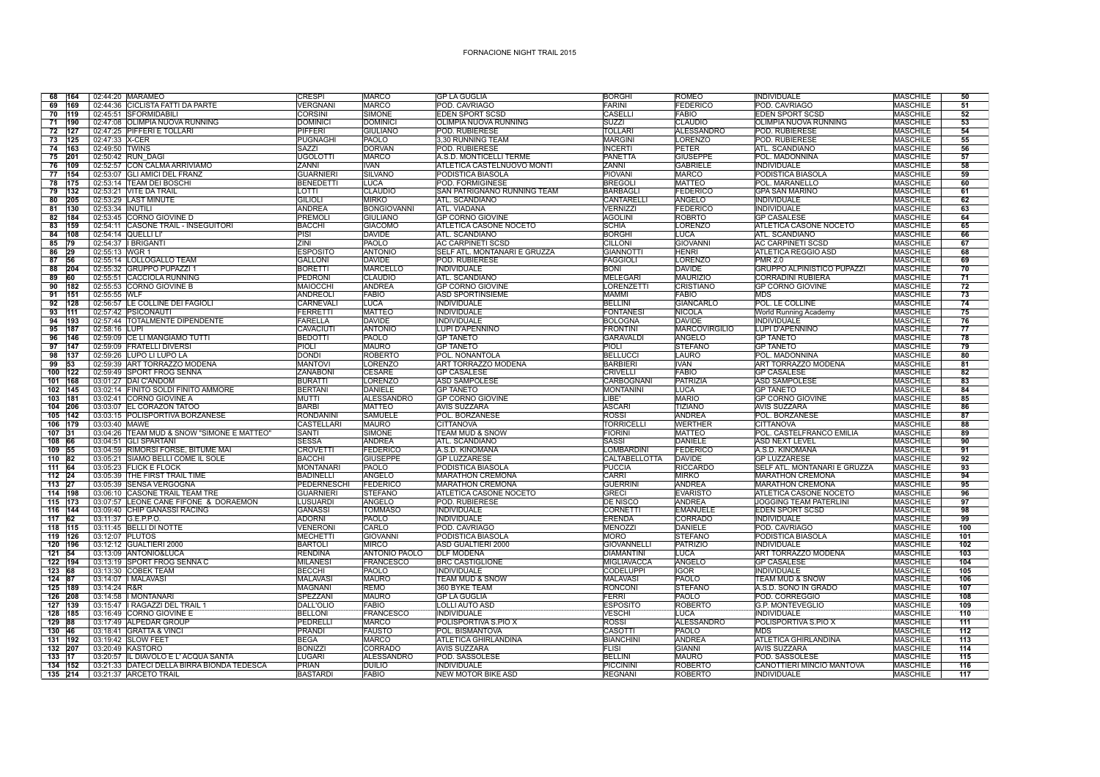## FORNACIONE NIGHT TRAIL 2015

| 68<br>164              |                  | 02:44:20 MARAMEO                                                            | <b>CRESPI</b>                   | <b>MARCO</b>                  | <b>GP LA GUGLIA</b>                             | <b>BORGHI</b>                     | ROMEO                            | <b>INDIVIDUALE</b>                                | <b>MASCHILE</b>                    | 50              |
|------------------------|------------------|-----------------------------------------------------------------------------|---------------------------------|-------------------------------|-------------------------------------------------|-----------------------------------|----------------------------------|---------------------------------------------------|------------------------------------|-----------------|
| 69<br>169              |                  | 02:44:36 CICLISTA FATTI DA PARTE                                            | <b>VERGNANI</b>                 | <b>MARCO</b>                  | POD. CAVRIAGO                                   | <b>FARINI</b>                     | <b>FEDERICO</b>                  | POD. CAVRIAGO                                     | <b>MASCHILE</b>                    | 51              |
| 70<br>119              |                  | 02:45:51 SFORMIDABILI                                                       | <b>CORSINI</b>                  | <b>SIMONE</b>                 | <b>EDEN SPORT SCSD</b>                          | CASELLI                           | FABIO                            | <b>EDEN SPORT SCSD</b>                            | <b>MASCHILE</b>                    | $\overline{52}$ |
| 190<br>71              |                  | 02:47:08 OLIMPIA NUOVA RUNNING                                              | <b>DOMINICI</b>                 | <b>DOMINICI</b>               | OLIMPIA NUOVA RUNNING                           | <b>SUZZI</b>                      | CLAUDIO                          | OLIMPIA NUOVA RUNNING                             | <b>MASCHILE</b>                    | 53              |
| 72<br>127              |                  | 02:47:25 PIFFERI E TOLLARI                                                  | PIFFERI                         | <b>GIULIANO</b>               | POD. RUBIERESE                                  | <b>TOLLARI</b>                    | <b>ALESSANDRO</b>                | POD. RUBIERESE                                    | <b>MASCHILE</b>                    | 54              |
| 125<br>73              | 02:47:33 X-CER   |                                                                             | <b>PUGNAGHI</b>                 | PAOLO                         | 3,30 RUNNING TEAM                               | <b>MARGIN</b>                     | <b>LORENZO</b>                   | POD. RUBIERESE                                    | <b>MASCHILE</b>                    | 55              |
| 74<br>163              | 02:49:50 TWINS   |                                                                             | <b>SAZZI</b>                    | <b>DORVAN</b>                 | POD. RUBIERESE                                  | <b>INCERTI</b>                    | PETER                            | ATL. SCANDIANO                                    | <b>MASCHILE</b>                    | 56              |
| 75<br>201              |                  | 02:50:42 RUN DAGI                                                           | <b>UGOLOTTI</b>                 | <b>MARCO</b>                  | A.S.D. MONTICELLI TERME                         | PANETTA                           | <b>GIUSEPPE</b>                  | POL. MADONNINA                                    | <b>MASCHILE</b>                    | $\overline{57}$ |
| 76<br>109              |                  | 02:52:57 CON CALMA ARRIVIAMO                                                | <b>ZANNI</b>                    | <b>IVAN</b>                   | ATLETICA CASTELNUOVO MONTI                      | <b>ZANNI</b>                      | <b>GABRIELE</b>                  | INDIVIDUALE                                       | <b>MASCHILE</b>                    | 58              |
| 77<br>154              |                  | 02:53:07 GLI AMICI DEL FRANZ                                                | <b>GUARNIERI</b>                | <b>SILVANO</b>                | PODISTICA BIASOLA                               | PIOVANI                           | <b>MARCO</b>                     | PODISTICA BIASOLA                                 | <b>MASCHILE</b>                    | $\overline{59}$ |
| $\overline{78}$<br>175 |                  | 02:53:14 TEAM DEI BOSCHI                                                    | <b>BENEDETTI</b>                | <b>LUCA</b>                   | POD. FORMIGINESE                                | <b>BREGOL</b>                     | <b>MATTEO</b>                    | POL. MARANELLO                                    | <b>MASCHILE</b>                    | 60              |
| 79<br>132              |                  | 02:53:21 VITE DA TRAIL                                                      | LOTTI                           | <b>CLAUDIO</b>                | <b>SAN PATRIGNANO RUNNING TEAM</b>              | <b>BARBAGLI</b>                   | <b>FEDERICO</b>                  | <b>GPA SAN MARINO</b>                             | <b>MASCHILE</b>                    | 61              |
| $\overline{80}$<br>205 |                  | 02:53:29 LAST MINUTE                                                        | <b>GILIOL</b>                   | <b>MIRKO</b>                  | <b>ATL. SCANDIANO</b>                           | <b>CANTARELLI</b>                 | ANGELO                           | <b>INDIVIDUALE</b>                                | <b>MASCHILE</b>                    | 62              |
| 81<br>130              | 02:53:34 INUTILI |                                                                             | <b>ANDREA</b>                   | <b>BONGIOVANNI</b>            | <b>ATL, VIADANA</b>                             | <b>VERNIZZI</b>                   | <b>FEDERICO</b>                  | INDIVIDUALE                                       | <b>MASCHILE</b>                    | 63              |
| 82<br>184              |                  | 02:53:45 CORNO GIOVINE D                                                    | <b>PREMOL</b>                   | <b>GIULIANO</b>               | <b>GP CORNO GIOVINE</b>                         | <b>AGOLINI</b>                    | ROBRTO                           | <b>GP CASALESE</b>                                | <b>MASCHILE</b>                    | 64              |
| 83<br>159              |                  | 02:54:11 CASONE TRAIL - INSEGUITORI                                         | <b>BACCHI</b>                   | <b>GIACOMO</b>                | <b>ATLETICA CASONE NOCETO</b>                   | <b>SCHIA</b>                      | <b>LORENZO</b>                   | ATLETICA CASONE NOCETO                            | <b>MASCHILE</b>                    | 65              |
| 84<br>108              |                  | 02:54:14 QUELLI LI'                                                         | PISI                            | <b>DAVIDE</b>                 | ATL. SCANDIANO                                  | <b>BORGHI</b>                     | <b>LUCA</b>                      | ATL. SCANDIANO                                    | <b>MASCHILE</b>                    | 66              |
| 85<br>$\overline{79}$  |                  | 02:54:37   BRIGANTI                                                         | ZINI                            | PAOLO                         | <b>AC CARPINETI SCSD</b>                        | <b>CILLONI</b>                    | <b>GIOVANNI</b>                  | <b>AC CARPINETI SCSD</b>                          | <b>MASCHILE</b>                    | 67              |
| 29<br>86               | 02:55:13 WGR 1   |                                                                             | <b>ESPOSITO</b>                 | <b>ANTONIO</b>                | SELF ATL. MONTANARI E GRUZZA                    | <b>GIANNOTTI</b>                  | <b>HENRI</b>                     | <b>ATLETICA REGGIO ASD</b>                        | <b>MASCHILE</b>                    | 68              |
| 87<br>56               |                  | 02:55:14  LOLLOGALLO TEAM                                                   | <b>GALLONI</b>                  | <b>DAVIDE</b>                 | POD. RUBIERESE                                  | <b>FAGGIOLI</b>                   | <b>LORENZO</b>                   | <b>PMR 2.0</b>                                    | <b>MASCHILE</b>                    | 69              |
| 88<br>204              |                  | 02:55:32 GRUPPO PUPAZZI 1                                                   | <b>BORETTI</b>                  | <b>MARCELLO</b>               | INDIVIDUALE                                     | <b>BONI</b>                       | <b>DAVIDE</b>                    | <b>GRUPPO ALPINISTICO PUPAZZI</b>                 | <b>MASCHILE</b>                    | 70              |
| 89<br>60               |                  | 02:55:51 CACCIOLA RUNNING                                                   | <b>PEDRONI</b>                  | <b>CLAUDIO</b>                | <b>ATL, SCANDIANO</b>                           | MELEGARI                          | <b>MAURIZIO</b>                  | <b>CORRADINI RUBIERA</b>                          | <b>MASCHILE</b>                    | 71              |
| 90<br>182              |                  | 02:55:53 CORNO GIOVINE B                                                    | MAIOCCHI                        | <b>ANDREA</b>                 | <b>GP CORNO GIOVINE</b>                         | <b>LORENZETTI</b>                 | <b>CRISTIANO</b>                 | <b>GP CORNO GIOVINE</b>                           | <b>MASCHILE</b>                    | 72              |
| 151<br>91              | 02:55:55 WLF     |                                                                             | <b>ANDREOLI</b>                 | <b>FABIO</b>                  | <b>ASD SPORTINSIEME</b>                         | <b>MAMMI</b>                      | <b>FABIO</b>                     | <b>MDS</b>                                        | <b>MASCHILE</b>                    | 73              |
| 92<br>128              |                  | 02:56:57 LE COLLINE DEI FAGIOLI                                             | CARNEVALI                       | <b>LUCA</b>                   | <b>INDIVIDUALE</b>                              | <b>BELLINI</b>                    | <b>GIANCARLO</b>                 | POL. LE COLLINE                                   | <b>MASCHILE</b>                    | 74              |
| 93<br>111              |                  | 02:57:42 PSICONAUTI                                                         | <b>FERRETTI</b>                 | <b>MATTEO</b>                 | INDIVIDUALE                                     | <b>FONTANESI</b>                  | <b>NICOLA</b>                    | <b>World Running Academy</b>                      | <b>MASCHILE</b>                    | 75              |
| 94<br>193              |                  | 02:57:44  TOTALMENTE DIPENDENTE                                             | <b>FARELLA</b>                  | <b>DAVIDE</b>                 | INDIVIDUALE                                     | <b>BOLOGNA</b>                    | <b>DAVIDE</b>                    | INDIVIDUALE                                       | <b>MASCHILE</b>                    | 76              |
| $\overline{95}$<br>187 | 02:58:16 LUPI    |                                                                             | CAVACIUTI                       | <b>ANTONIO</b>                | LUPI D'APENNINO                                 | <b>FRONTINI</b>                   | <b>MARCOVIRGILIO</b>             | LUPI D'APENNINO                                   | <b>MASCHILE</b>                    | 77              |
| 96<br>146              |                  | 02:59:09 CE LI MANGIAMO TUTTI                                               | <b>BEDOTTI</b>                  | PAOLO                         | <b>GP TANETO</b>                                | <b>GARAVALDI</b>                  | ANGELO                           | <b>GP TANETO</b>                                  | <b>MASCHILE</b>                    | 78              |
| 97<br>147              |                  | 02:59:09 FRATELLI DIVERSI                                                   | PIOLI                           | <b>MAURO</b>                  | <b>GP TANETO</b>                                | PIOLI                             | <b>STEFANO</b>                   | <b>GP TANETO</b>                                  | <b>MASCHILE</b>                    | 79              |
| 98<br>137              |                  | 02:59:26 LUPO LI LUPO LA                                                    | <b>DONDI</b>                    | <b>ROBERTO</b>                | POL. NONANTOLA                                  | <b>BELLUCCI</b>                   | LAURO                            | POL. MADONNINA                                    | <b>MASCHILE</b>                    | 80              |
| 99<br>53               |                  | 02:59:39 ART TORRAZZO MODENA                                                | <b>MANTOVI</b>                  | <b>LORENZO</b>                | <b>ART TORRAZZO MODENA</b>                      | <b>BARBIERI</b>                   | <b>IVAN</b>                      | <b>ART TORRAZZO MODENA</b>                        | <b>MASCHILE</b>                    | 81              |
| 100<br>122             |                  | 02:59:49 SPORT FROG SENNA                                                   | <b>ZANABONI</b>                 | <b>CESARE</b>                 | <b>GP CASALESE</b>                              | <b>CRIVELLI</b>                   | FABIO                            | <b>GP CASALESE</b>                                | <b>MASCHILE</b>                    | $\overline{82}$ |
| 168<br>101             |                  | 03:01:27 DAI C'ANDOM                                                        | <b>BURATTI</b>                  | <b>LORENZO</b>                | <b>ASD SAMPOLESE</b>                            | CARBOGNANI                        | <b>PATRIZIA</b>                  | <b>ASD SAMPOLESE</b>                              | <b>MASCHILE</b>                    | 83              |
| 102 145                |                  | 03:02:14 FINITO SOLDI FINITO AMMORE                                         | <b>BERTANI</b>                  | <b>DANIELE</b>                | <b>GP TANETO</b>                                | <b>MONTANINI</b>                  | <b>LUCA</b>                      | <b>GP TANETO</b>                                  | <b>MASCHILE</b>                    | 84              |
| 103 181                |                  | 03:02:41 CORNO GIOVINE A                                                    | <b>MUTTI</b>                    | <b>ALESSANDRO</b>             | <b>GP CORNO GIOVINE</b>                         | LIBE'                             | <b>MARIO</b>                     | <b>GP CORNO GIOVINE</b>                           | <b>MASCHILE</b>                    | 85              |
| 104 206                |                  | 03:03:07 EL CORAZON TATOO                                                   | <b>BARBI</b>                    | <b>MATTEO</b>                 | <b>AVIS SUZZARA</b>                             | <b>ASCARI</b>                     | <b>TIZIANO</b>                   | <b>AVIS SUZZARA</b>                               | <b>MASCHILE</b>                    | 86              |
| 105 142                |                  | 03:03:15 POLISPORTIVA BORZANESE                                             | <b>RONDANINI</b>                | <b>SAMUELE</b>                | POL. BORZANESE                                  | <b>ROSSI</b>                      | <b>ANDREA</b>                    | POL. BORZANESE                                    | <b>MASCHILE</b>                    | 87              |
| 106 179                | 03:03:40 MAWE    |                                                                             | <b>CASTELLARI</b>               | <b>MAURO</b><br>SIMONE        | <b>CITTANOVA</b>                                | <b>TORRICELLI</b>                 | <b>WERTHER</b>                   | <b>CITTANOVA</b>                                  | <b>MASCHILE</b>                    | 88              |
| 107 31<br>108 66       |                  | 03:04:26 TEAM MUD & SNOW "SIMONE E MATTEO"<br>03:04:51 GLI SPARTANI         | <b>SANTI</b><br><b>SESSA</b>    | <b>ANDREA</b>                 | TEAM MUD & SNOW<br><b>ATL. SCANDIANO</b>        | <b>FIORINI</b><br><b>SASS</b>     | <b>MATTEO</b><br><b>DANIELE</b>  | POL. CASTELFRANCO EMILIA<br><b>ASD NEXT LEVEL</b> | <b>MASCHILE</b><br><b>MASCHILE</b> | 89<br>90        |
| $109$ 55               |                  | 03:04:59 RIMORSI FORSE, BITUME MAI                                          | <b>CROVETTI</b>                 | <b>FEDERICC</b>               | A.S.D. KINOMANA                                 | <b>LOMBARDINI</b>                 | <b>FEDERICO</b>                  |                                                   | <b>MASCHILE</b>                    | 91              |
| 110 82                 |                  | 03:05:21 SIAMO BELLI COME IL SOLE                                           | <b>BACCHI</b>                   | <b>GIUSEPPE</b>               | <b>GP LUZZARESE</b>                             | CALTABELLOTTA                     | <b>DAVIDE</b>                    | A.S.D. KINOMANA<br><b>GP LUZZARESE</b>            | <b>MASCHILE</b>                    | 92              |
| 111 64                 |                  | 03:05:23 FLICK E FLOCK                                                      | <b>MONTANARI</b>                | <b>PAOLO</b>                  | PODISTICA BIASOLA                               | <b>PUCCIA</b>                     | <b>RICCARDO</b>                  | SELF ATL. MONTANARI E GRUZZA                      | <b>MASCHILE</b>                    | 93              |
| 112 24                 |                  | 03:05:39 THE FIRST TRAIL TIME                                               | <b>BADINELLI</b>                | ANGELO                        | <b>MARATHON CREMONA</b>                         | CARRI                             | <b>MIRKO</b>                     | <b>MARATHON CREMONA</b>                           | <b>MASCHILE</b>                    | 94              |
| 113 27                 |                  | 03:05:39 SENSA VERGOGNA                                                     | PEDERNESCHI                     | FEDERICO                      | <b>MARATHON CREMONA</b>                         | <b>GUERRINI</b>                   | <b>ANDREA</b>                    | <b>MARATHON CREMONA</b>                           | <b>MASCHILE</b>                    | $\overline{95}$ |
|                        |                  | 03:06:10 CASONE TRAIL TEAM TRE                                              | <b>GUARNIERI</b>                | <b>STEFANO</b>                |                                                 | <b>GRECI</b>                      | <b>EVARISTO</b>                  | ATLETICA CASONE NOCETO                            | <b>MASCHILE</b>                    | 96              |
| $114$ 198<br>115 173   |                  | 03:07:57 LEONE CANE FIFONE & DORAEMON                                       | <b>LUSUARDI</b>                 | ANGELO                        | <b>ATLETICA CASONE NOCETO</b><br>POD. RUBIERESE | <b>DE NISCO</b>                   | <b>ANDREA</b>                    | <b>JOGGING TEAM PATERLINI</b>                     | <b>MASCHILE</b>                    | 97              |
| 116 144                |                  | 03:09:40 CHIP GANASSI RACING                                                | <b>GANASSI</b>                  | <b>TOMMASO</b>                | <b>INDIVIDUALE</b>                              | <b>CORNETTI</b>                   | <b>EMANUELE</b>                  | <b>EDEN SPORT SCSD</b>                            | <b>MASCHILE</b>                    | 98              |
| $117$ 62               |                  | 03:11:37 G.E.P.P.O.                                                         | <b>ADORNI</b>                   | PAOLO                         | INDIVIDUALE                                     | <b>ERENDA</b>                     | CORRADO                          | INDIVIDUALE                                       | <b>MASCHILE</b>                    | 99              |
| 118 115                |                  | 03:11:45 BELLI DI NOTTE                                                     |                                 |                               |                                                 |                                   |                                  |                                                   |                                    | 100             |
| 119 126                |                  |                                                                             |                                 |                               |                                                 |                                   |                                  |                                                   |                                    |                 |
|                        |                  |                                                                             | <b>VENERONI</b>                 | CARLO                         | POD, CAVRIAGO                                   | <b>MENOZZI</b>                    | <b>DANIFLE</b>                   | POD, CAVRIAGO                                     | <b>MASCHILE</b>                    |                 |
|                        | 03:12:07 PLUTOS  |                                                                             | <b>MECHETTI</b>                 | <b>GIOVANN</b>                | PODISTICA BIASOLA                               | <b>MORO</b>                       | <b>STEFANO</b>                   | PODISTICA BIASOLA                                 | <b>MASCHILE</b>                    | 101             |
| 120 196                |                  | 03:12:12 GUALTIERI 2000                                                     | <b>BARTOLI</b>                  | <b>MIRCO</b>                  | ASD GUALTIERI 2000                              | <b>GIOVANNELLI</b>                | <b>PATRIZIO</b>                  | INDIVIDUALE                                       | <b>MASCHILE</b>                    | 102             |
| 121 54                 |                  | 03:13:09 ANTONIO&LUCA                                                       | <b>RENDINA</b>                  | <b>ANTONIO PAOLO</b>          | <b>DLF MODENA</b>                               | <b>DIAMANTINI</b>                 | <b>LUCA</b>                      | <b>ART TORRAZZO MODENA</b>                        | <b>MASCHILE</b>                    | 103             |
| 122 194                |                  | 03:13:19 SPORT FROG SENNAC                                                  | <b>MILANESI</b>                 | <b>FRANCESCO</b>              | <b>BRC CASTIGLIONE</b>                          | <b>MIGLIAVACCA</b>                | ANGELO                           | <b>GP CASALESE</b>                                | <b>MASCHILE</b>                    | 104             |
| 123 68                 |                  | 03:13:30 COBEK TEAM                                                         | <b>BECCHI</b>                   | <b>PAOLO</b>                  | <b>INDIVIDUALE</b>                              | <b>CODELUPPI</b>                  | <b>IGOR</b>                      | <b>INDIVIDUALE</b>                                | <b>MASCHILE</b>                    | 105             |
| 124 87                 |                  | 03:14:07   MALAVASI                                                         | <b>MALAVAS</b>                  | <b>MAURO</b>                  | TEAM MUD & SNOW                                 | <b>MALAVASI</b>                   | PAOLO                            | TEAM MUD & SNOW                                   | <b>MASCHILE</b>                    | 106             |
| 125 189                | 03:14:24 R&R     |                                                                             | <b>MAGNANI</b>                  | <b>REMO</b>                   | 360 BYKE TEAM                                   | <b>RONCONI</b>                    | <b>STEFANO</b>                   | A.S.D. SONO IN GRADO                              | <b>MASCHILE</b>                    | 107             |
| 126 208                |                  | 03:14:58   MONTANARI                                                        | SPEZZANI                        | <b>MAURO</b>                  | <b>GP LA GUGLIA</b>                             | <b>FERRI</b>                      | PAOLO                            | POD. CORREGGIO                                    | <b>MASCHILE</b>                    | 108             |
| 127 139                |                  | 03:15:47   RAGAZZI DEL TRAIL 1                                              | <b>DALL'OLIO</b>                | <b>FABIO</b>                  | LOLLI AUTO ASD                                  | <b>ESPOSITO</b>                   | <b>ROBERTO</b>                   | <b>G.P. MONTEVEGLIO</b>                           | <b>MASCHILE</b>                    | 109             |
| 128 185                |                  | 03:16:49 CORNO GIOVINE E                                                    | <b>BELLONI</b>                  | <b>FRANCESCO</b>              | <b>INDIVIDUALE</b>                              | <b>VESCHI</b>                     | <b>LUCA</b>                      | <b>INDIVIDUALE</b>                                | <b>MASCHILE</b>                    | 110             |
| 129 88                 |                  | 03:17:49 ALPEDAR GROUP                                                      | <b>PEDRELLI</b>                 | <b>MARCO</b>                  | POLISPORTIVA S.PIO X                            | <b>ROSSI</b>                      | <b>ALESSANDRO</b>                | POLISPORTIVA S.PIO X                              | <b>MASCHILE</b>                    | 111             |
| 130 46                 |                  | 03:18:41 GRATTA & VINCI                                                     | <b>PRANDI</b>                   | <b>FAUSTO</b>                 | POL. BISMANTOVA                                 | <b>CASOTTI</b>                    | PAOLO                            | <b>MDS</b>                                        | <b>MASCHILE</b>                    | 112             |
| 131 192                |                  | 03:19:42 SLOW FEET                                                          | <b>BEGA</b>                     | <b>MARCO</b>                  | <b>ATLETICA GHIRLANDINA</b>                     | <b>BIANCHINI</b>                  | <b>ANDREA</b>                    | <b>ATLETICA GHIRLANDINA</b>                       | <b>MASCHILE</b>                    | 113             |
| 132 207                |                  | 03:20:49 KASTORO                                                            | <b>BONIZZ</b>                   | <b>CORRADO</b>                | <b>AVIS SUZZARA</b>                             | <b>FLISI</b>                      | <b>GIANNI</b>                    | <b>AVIS SUZZARA</b>                               | <b>MASCHILE</b>                    | 114             |
| 133 17                 |                  | 03:20:57 IL DIAVOLO E L'ACQUA SANTA                                         | LUGARI                          | <b>ALESSANDRO</b>             | POD. SASSOLESE                                  | <b>BELLINI</b>                    | <b>MAURO</b>                     | POD, SASSOLESE                                    | <b>MASCHILE</b>                    | 115             |
| 134 152                |                  | 03:21:33 DATECI DELLA BIRRA BIONDA TEDESCA<br>135 214 03:21:37 ARCETO TRAIL | <b>PRIAN</b><br><b>BASTARDI</b> | <b>DUILIO</b><br><b>FABIO</b> | <b>INDIVIDUALE</b><br><b>NEW MOTOR BIKE ASD</b> | <b>PICCININ</b><br><b>REGNANI</b> | <b>ROBERTO</b><br><b>ROBERTO</b> | CANOTTIERI MINCIO MANTOVA<br><b>INDIVIDUALE</b>   | <b>MASCHILE</b><br><b>MASCHILE</b> | 116<br>117      |